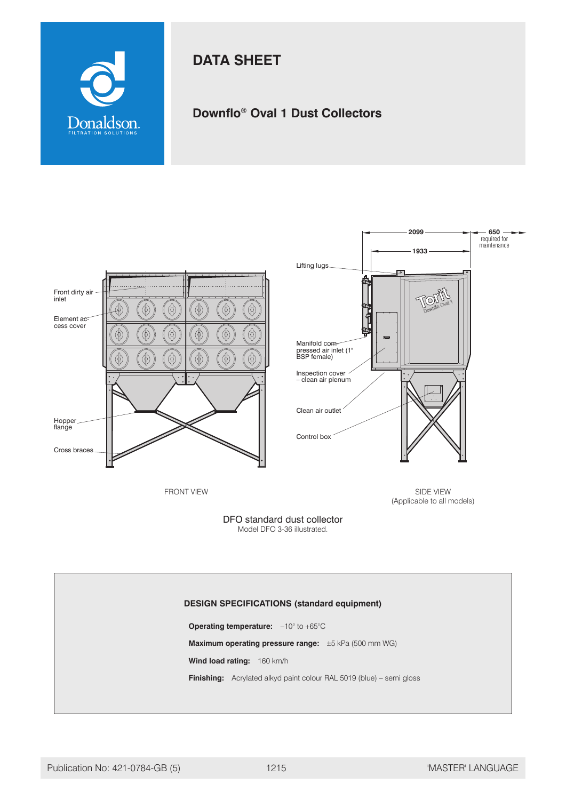

# **DATA SHEET**

# **Downflo® Oval 1 Dust Collectors**



DFO standard dust collector Model DFO 3-36 illustrated.

## **DESIGN SPECIFICATIONS (standard equipment)**

**Operating temperature:**  $-10^{\circ}$  to +65°C

**Maximum operating pressure range:** ±5 kPa (500 mm WG)

**Wind load rating:** 160 km/h

**Finishing:** Acrylated alkyd paint colour RAL 5019 (blue) – semi gloss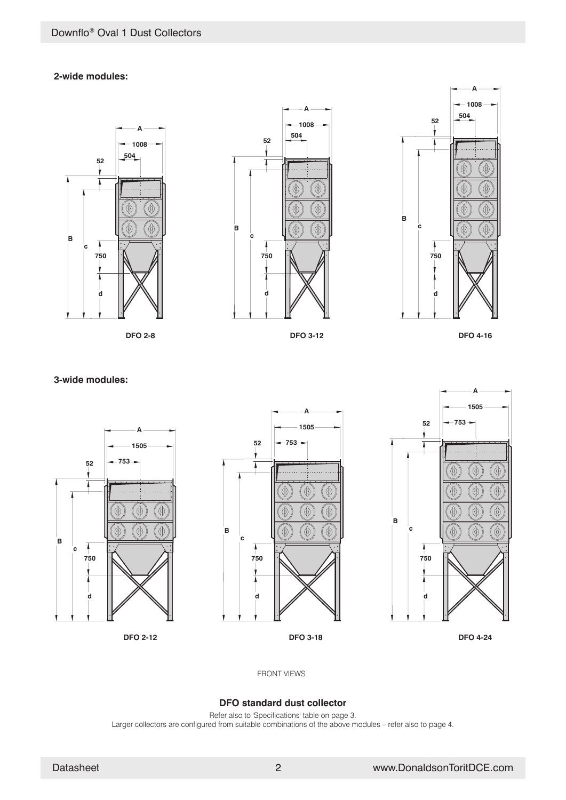## **2-wide modules:**







**DFO 4-16**

**A**

## **3-wide modules:**



## FRONT VIEWS

## **DFO standard dust collector**

Refer also to 'Specifications' table on page 3.

Larger collectors are configured from suitable combinations of the above modules – refer also to page 4.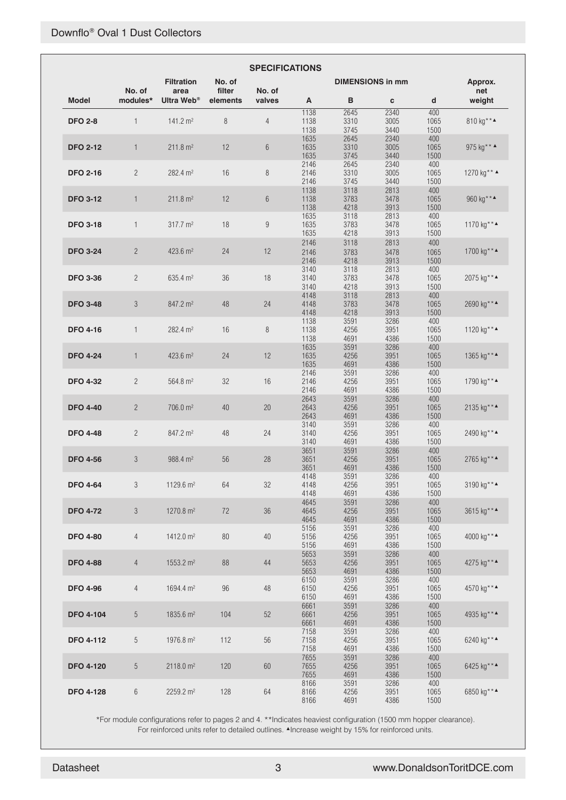|                  |                |                           |                  | <b>SPECIFICATIONS</b> |              |              |                         |                             |                         |
|------------------|----------------|---------------------------|------------------|-----------------------|--------------|--------------|-------------------------|-----------------------------|-------------------------|
|                  | No. of         | <b>Filtration</b><br>area | No. of<br>filter | No. of                |              |              | <b>DIMENSIONS in mm</b> |                             | Approx.<br>net          |
| <b>Model</b>     | modules*       | Ultra Web®                | elements         | valves                | A            | в            | $\mathbf c$             | $\operatorname{\mathsf{d}}$ | weight                  |
|                  |                |                           |                  |                       | 1138         | 2645         | 2340                    | 400                         |                         |
| <b>DFO 2-8</b>   | $\mathbf{1}$   | $141.2 \, \text{m}^2$     | 8                | $\overline{4}$        | 1138<br>1138 | 3310<br>3745 | 3005<br>3440            | 1065<br>1500                | 810 kg <sup>**▲</sup>   |
|                  |                |                           |                  |                       | 1635         | 2645         | 2340                    | 400                         |                         |
| <b>DFO 2-12</b>  | $\mathbf{1}$   | $211.8 \text{ m}^2$       | 12               | 6                     | 1635         | 3310         | 3005                    | 1065                        | 975 kg <sup>**</sup>    |
|                  |                |                           |                  |                       | 1635         | 3745         | 3440                    | 1500                        |                         |
|                  |                |                           |                  |                       | 2146         | 2645         | 2340                    | 400                         |                         |
| <b>DFO 2-16</b>  | $\overline{c}$ | 282.4 m <sup>2</sup>      | 16               | $\,8\,$               | 2146         | 3310         | 3005                    | 1065                        | 1270 kg <sup>**</sup>   |
|                  |                |                           |                  |                       | 2146<br>1138 | 3745<br>3118 | 3440<br>2813            | 1500<br>400                 |                         |
| <b>DFO 3-12</b>  | $\mathbf{1}$   | $211.8 \text{ m}^2$       | 12               | $6\,$                 | 1138         | 3783         | 3478                    | 1065                        | 960 kg <sup>**▲</sup>   |
|                  |                |                           |                  |                       | 1138         | 4218         | 3913                    | 1500                        |                         |
|                  |                |                           |                  |                       | 1635         | 3118         | 2813                    | 400                         |                         |
| <b>DFO 3-18</b>  | $\mathbf{1}$   | $317.7 \text{ m}^2$       | 18               | $9\,$                 | 1635         | 3783         | 3478                    | 1065                        | 1170 kg <sup>**▲</sup>  |
|                  |                |                           |                  |                       | 1635         | 4218         | 3913                    | 1500                        |                         |
|                  |                |                           |                  |                       | 2146         | 3118         | 2813                    | 400                         |                         |
| <b>DFO 3-24</b>  | $\overline{2}$ | 423.6 m <sup>2</sup>      | 24               | 12                    | 2146<br>2146 | 3783<br>4218 | 3478<br>3913            | 1065<br>1500                | 1700 kg <sup>**▲</sup>  |
|                  |                |                           |                  |                       | 3140         | 3118         | 2813                    | 400                         |                         |
| <b>DFO 3-36</b>  | $\overline{2}$ | 635.4 m <sup>2</sup>      | 36               | 18                    | 3140         | 3783         | 3478                    | 1065                        | 2075 kg <sup>**</sup>   |
|                  |                |                           |                  |                       | 3140         | 4218         | 3913                    | 1500                        |                         |
|                  |                |                           |                  |                       | 4148         | 3118         | 2813                    | 400                         |                         |
| <b>DFO 3-48</b>  | $\mathsf{3}$   | 847.2 m <sup>2</sup>      | 48               | 24                    | 4148         | 3783         | 3478                    | 1065                        | 2690 kg <sup>*</sup> *▲ |
|                  |                |                           |                  |                       | 4148<br>1138 | 4218<br>3591 | 3913<br>3286            | 1500<br>400                 |                         |
| <b>DFO 4-16</b>  | $\mathbf{1}$   | 282.4 m <sup>2</sup>      | 16               | 8                     | 1138         | 4256         | 3951                    | 1065                        | 1120 kg <sup>**▲</sup>  |
|                  |                |                           |                  |                       | 1138         | 4691         | 4386                    | 1500                        |                         |
|                  |                |                           |                  |                       | 1635         | 3591         | 3286                    | 400                         |                         |
| <b>DFO 4-24</b>  | $\mathbf{1}$   | 423.6 m <sup>2</sup>      | 24               | 12                    | 1635         | 4256         | 3951                    | 1065                        | 1365 kg <sup>**▲</sup>  |
|                  |                |                           |                  |                       | 1635         | 4691         | 4386                    | 1500                        |                         |
| <b>DFO 4-32</b>  | $\overline{2}$ | 564.8 m <sup>2</sup>      | 32               | 16                    | 2146<br>2146 | 3591<br>4256 | 3286<br>3951            | 400<br>1065                 | 1790 kg <sup>**▲</sup>  |
|                  |                |                           |                  |                       | 2146         | 4691         | 4386                    | 1500                        |                         |
|                  |                |                           |                  |                       | 2643         | 3591         | 3286                    | 400                         |                         |
| <b>DFO 4-40</b>  | $\overline{2}$ | 706.0 m <sup>2</sup>      | 40               | $20\,$                | 2643         | 4256         | 3951                    | 1065                        | 2135 kg <sup>**▲</sup>  |
|                  |                |                           |                  |                       | 2643         | 4691         | 4386                    | 1500                        |                         |
| <b>DFO 4-48</b>  | $\overline{2}$ | 847.2 m <sup>2</sup>      | 48               | 24                    | 3140<br>3140 | 3591<br>4256 | 3286<br>3951            | 400<br>1065                 | 2490 kg <sup>**▲</sup>  |
|                  |                |                           |                  |                       | 3140         | 4691         | 4386                    | 1500                        |                         |
|                  |                |                           |                  |                       | 3651         | 3591         | 3286                    | 400                         |                         |
| <b>DFO 4-56</b>  | 3              | 988.4 m <sup>2</sup>      | 56               | 28                    | 3651         | 4256         | 3951                    | 1065                        | 2765 kg <sup>**▲</sup>  |
|                  |                |                           |                  |                       | 3651         | 4691         | 4386                    | 1500                        |                         |
|                  |                |                           |                  | 32                    | 4148         | 3591         | 3286                    | 400                         |                         |
| <b>DFO 4-64</b>  | 3              | 1129.6 m <sup>2</sup>     | 64               |                       | 4148<br>4148 | 4256<br>4691 | 3951<br>4386            | 1065<br>1500                | 3190 kg**▲              |
|                  |                |                           |                  |                       | 4645         | 3591         | 3286                    | 400                         |                         |
| <b>DFO 4-72</b>  | $\mathfrak{S}$ | $1270.8 \text{ m}^2$      | 72               | 36                    | 4645         | 4256         | 3951                    | 1065                        | 3615 kg <sup>**▲</sup>  |
|                  |                |                           |                  |                       | 4645         | 4691         | 4386                    | 1500                        |                         |
|                  |                |                           |                  |                       | 5156         | 3591         | 3286                    | 400                         |                         |
| <b>DFO 4-80</b>  | $\overline{4}$ | 1412.0 $m2$               | $80\,$           | 40                    | 5156<br>5156 | 4256<br>4691 | 3951<br>4386            | 1065<br>1500                | 4000 kg <sup>*</sup> *▲ |
|                  |                |                           |                  |                       | 5653         | 3591         | 3286                    | 400                         |                         |
| <b>DFO 4-88</b>  | 4              | 1553.2 $m2$               | 88               | 44                    | 5653         | 4256         | 3951                    | 1065                        | 4275 kg***              |
|                  |                |                           |                  |                       | 5653         | 4691         | 4386                    | 1500                        |                         |
|                  |                |                           |                  |                       | 6150         | 3591         | 3286                    | 400                         |                         |
| <b>DFO 4-96</b>  | 4              | 1694.4 $m2$               | 96               | 48                    | 6150<br>6150 | 4256<br>4691 | 3951<br>4386            | 1065<br>1500                | 4570 kg <sup>**▲</sup>  |
|                  |                |                           |                  |                       | 6661         | 3591         | 3286                    | 400                         |                         |
| <b>DFO 4-104</b> | 5              | 1835.6 $m2$               | 104              | 52                    | 6661         | 4256         | 3951                    | 1065                        | 4935 kg <sup>**▲</sup>  |
|                  |                |                           |                  |                       | 6661         | 4691         | 4386                    | 1500                        |                         |
|                  |                |                           |                  |                       | 7158         | 3591         | 3286                    | 400                         |                         |
| <b>DFO 4-112</b> | 5              | 1976.8 $m2$               | 112              | 56                    | 7158         | 4256         | 3951                    | 1065                        | 6240 kg <sup>**▲</sup>  |
|                  |                |                           |                  |                       | 7158<br>7655 | 4691<br>3591 | 4386<br>3286            | 1500<br>400                 |                         |
| <b>DFO 4-120</b> | 5              | $2118.0 \text{ m}^2$      | 120              | 60                    | 7655         | 4256         | 3951                    | 1065                        | 6425 kg <sup>**▲</sup>  |
|                  |                |                           |                  |                       | 7655         | 4691         | 4386                    | 1500                        |                         |
|                  |                |                           |                  |                       | 8166         | 3591         | 3286                    | 400                         |                         |
| <b>DFO 4-128</b> | 6              | 2259.2 $m2$               | 128              | 64                    | 8166         | 4256         | 3951                    | 1065                        | 6850 kg <sup>**▲</sup>  |
|                  |                |                           |                  |                       | 8166         | 4691         | 4386                    | 1500                        |                         |

\*For module configurations refer to pages 2 and 4. \*\*Indicates heaviest configuration (1500 mm hopper clearance). For reinforced units refer to detailed outlines. ▲Increase weight by 15% for reinforced units.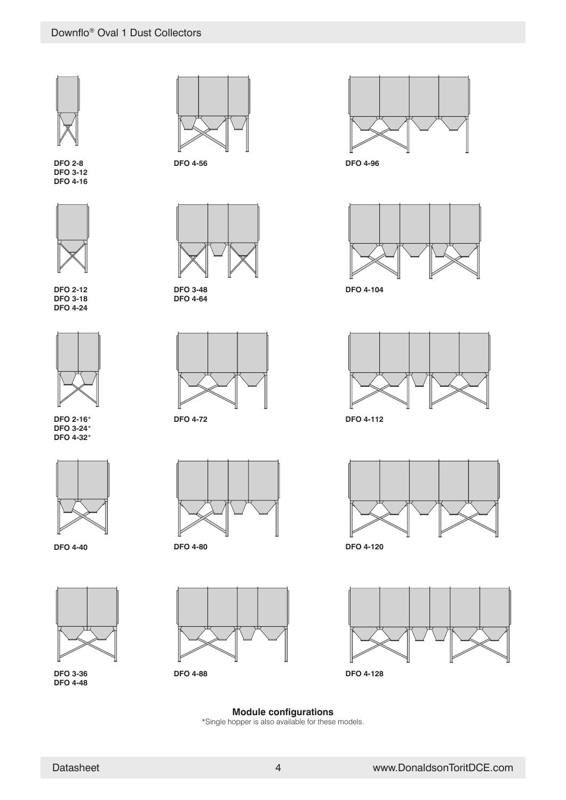

**DFO 2-8 DFO 3-12 DFO 4-16**



**DFO 2-12 DFO 3-18 DFO 4-24**



**DFO 2-16**\* **DFO 3-24**\* **DFO 4-32**\*



**DFO 4-40**



**DFO 3-36 DFO 4-48**





**DFO 4-56**

**DFO 3-48 DFO 4-64**

**DFO 4-72**

**DFO 4-80**

**DFO 4-88**





















**DFO 4-112**











**Module configurations** \*Single hopper is also available for these models.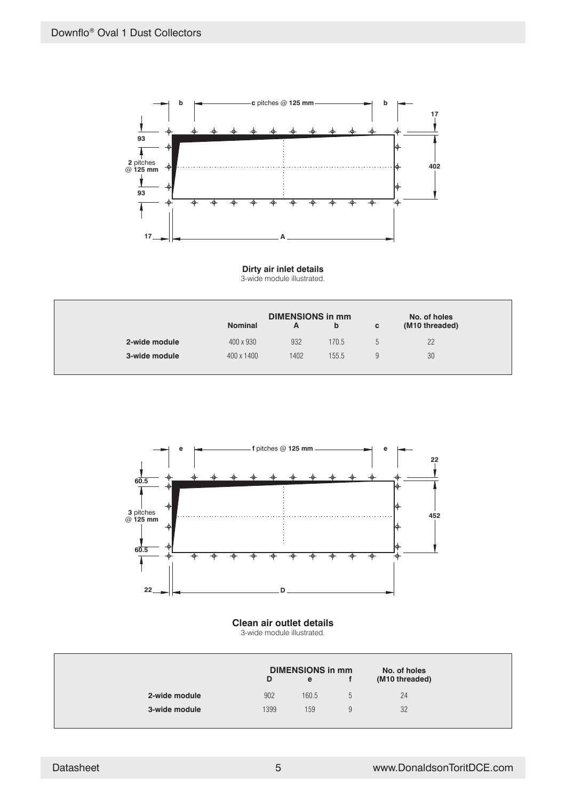

**Dirty air inlet details** 3-wide module illustrated.

|               |                | <b>DIMENSIONS in mm</b> |       |   | No. of holes               |
|---------------|----------------|-------------------------|-------|---|----------------------------|
|               | <b>Nominal</b> | A                       | b     | c | (M <sub>10</sub> threaded) |
| 2-wide module | 400 x 930      | 932                     | 170.5 |   | 22                         |
| 3-wide module | 400 x 1400     | 1402                    | 155.5 | 9 | 30                         |



## **Clean air outlet details**

3-wide module illustrated.

| 902<br>160.5<br>24<br>2-wide module<br><sub>5</sub> |
|-----------------------------------------------------|
|                                                     |
| 159<br>1399<br>32<br>9<br>3-wide module             |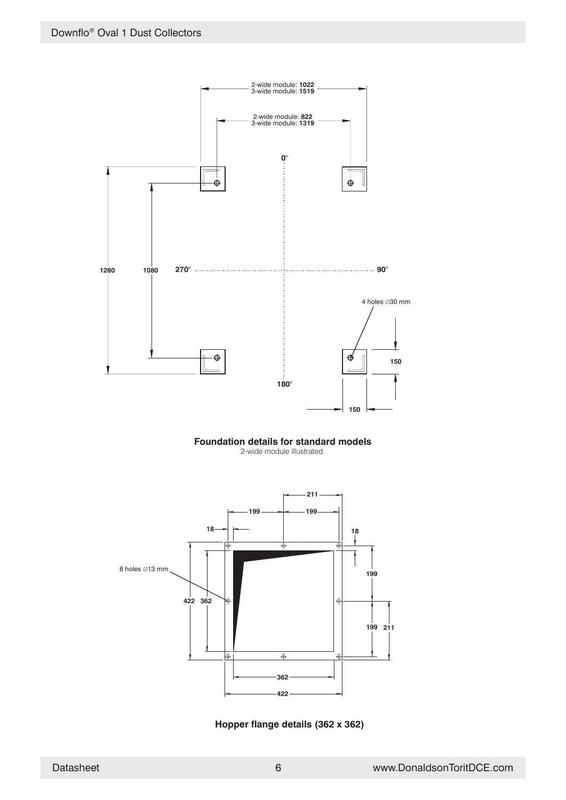



**Hopper flange details (362 x 362)**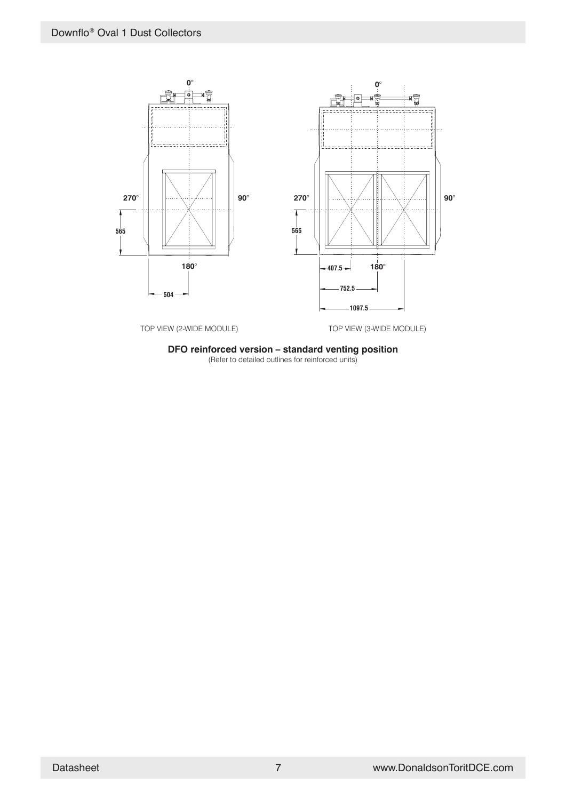

**DFO reinforced version – standard venting position** (Refer to detailed outlines for reinforced units)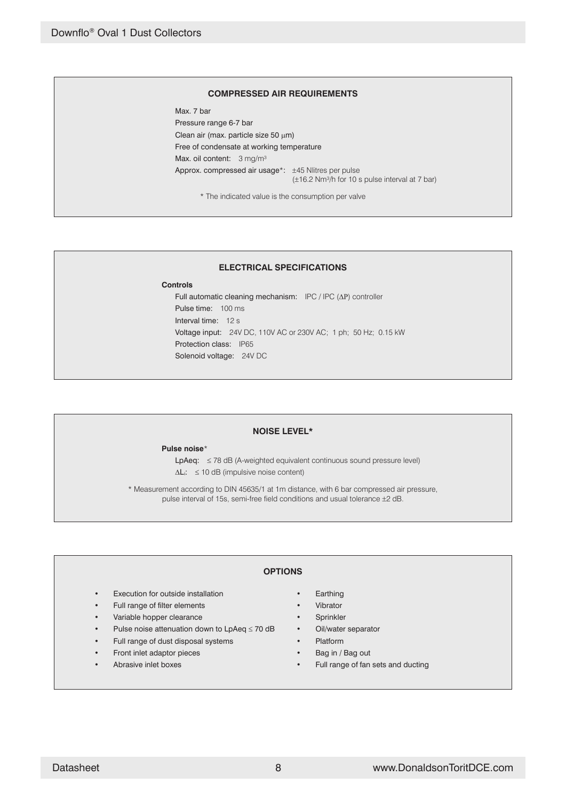### **COMPRESSED AIR REQUIREMENTS**

Max. 7 bar Pressure range 6-7 bar Clean air (max. particle size 50 µm) Free of condensate at working temperature Max. oil content: 3 mg/m<sup>3</sup> Approx. compressed air usage\*: ±45 Nlitres per pulse (±16.2 Nm<sup>3</sup>/h for 10 s pulse interval at 7 bar)

\* The indicated value is the consumption per valve

#### **ELECTRICAL SPECIFICATIONS**

#### **Controls**

Full automatic cleaning mechanism: IPC / IPC (∆Ρ) controller Pulse time: 100 ms Interval time: 12 s Voltage input: 24V DC, 110V AC or 230V AC; 1 ph; 50 Hz; 0.15 kW Protection class: IP65 Solenoid voltage: 24V DC

#### **NOISE LEVEL\***

#### **Pulse noise**\*

LpAeq: ≤ 78 dB (A-weighted equivalent continuous sound pressure level) ∆Li: ≤ 10 dB (impulsive noise content)

\* Measurement according to DIN 45635/1 at 1m distance, with 6 bar compressed air pressure, pulse interval of 15s, semi-free field conditions and usual tolerance ±2 dB.

### **OPTIONS**

- Execution for outside installation
- Full range of filter elements
- Variable hopper clearance
- Pulse noise attenuation down to LpAeq ≤ 70 dB
- Full range of dust disposal systems
- Front inlet adaptor pieces
- Abrasive inlet boxes

• Earthing

- Vibrator
- Sprinkler
- Oil/water separator
- Platform
- Bag in / Bag out
- Full range of fan sets and ducting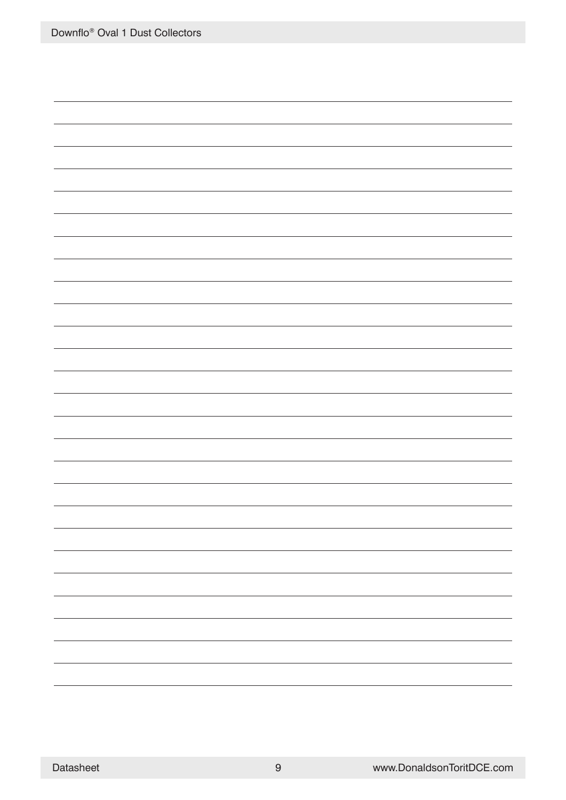| Downflo <sup>®</sup> Oval 1 Dust Collectors                                                                                                                          |
|----------------------------------------------------------------------------------------------------------------------------------------------------------------------|
|                                                                                                                                                                      |
|                                                                                                                                                                      |
|                                                                                                                                                                      |
|                                                                                                                                                                      |
|                                                                                                                                                                      |
|                                                                                                                                                                      |
|                                                                                                                                                                      |
|                                                                                                                                                                      |
|                                                                                                                                                                      |
|                                                                                                                                                                      |
|                                                                                                                                                                      |
|                                                                                                                                                                      |
|                                                                                                                                                                      |
|                                                                                                                                                                      |
|                                                                                                                                                                      |
|                                                                                                                                                                      |
|                                                                                                                                                                      |
|                                                                                                                                                                      |
|                                                                                                                                                                      |
|                                                                                                                                                                      |
|                                                                                                                                                                      |
|                                                                                                                                                                      |
|                                                                                                                                                                      |
|                                                                                                                                                                      |
|                                                                                                                                                                      |
|                                                                                                                                                                      |
|                                                                                                                                                                      |
|                                                                                                                                                                      |
|                                                                                                                                                                      |
|                                                                                                                                                                      |
|                                                                                                                                                                      |
| ,我们也不会有什么?""我们的人,我们也不会有什么?""我们的人,我们也不会有什么?""我们的人,我们也不会有什么?""我们的人,我们也不会有什么?""我们的人                                                                                     |
|                                                                                                                                                                      |
|                                                                                                                                                                      |
|                                                                                                                                                                      |
|                                                                                                                                                                      |
|                                                                                                                                                                      |
|                                                                                                                                                                      |
|                                                                                                                                                                      |
|                                                                                                                                                                      |
|                                                                                                                                                                      |
|                                                                                                                                                                      |
| ,我们也不会有一个人的事情。""我们的人,我们也不会有一个人的人,我们也不会有一个人的人,我们也不会有一个人的人,我们也不会有一个人的人,我们也不会有一个人的人,<br>第二百一十一章 第二百一十二章 第二百一十二章 第二百一十二章 第二百一十二章 第二百一十二章 第二百一十二章 第二百一十二章 第二百一十二章 第二百一十二章 |